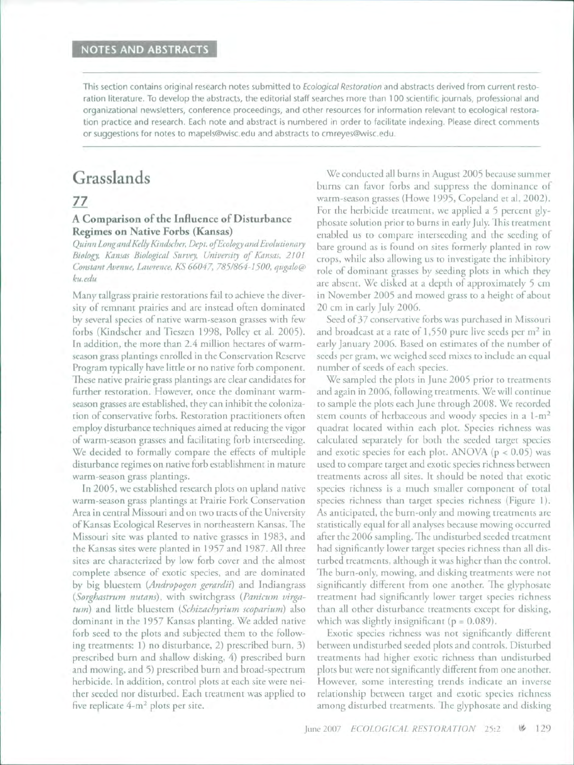This section contains original research notes submitted to *Ecological Restoration* and abstracts derived from current restoration literature. To develop the abstracts, the editorial staff searches more than 100 scientific journals, professional and organizational newsletters, conference proceedings, and other resources for information relevant to ecological restoration practice and research. Each note and abstract is numbered in order to facilitate indexing. Please direct comments or suggestions for notes to mapels@wisc,edu and abstracts to cmreyes@wisc,edu.

# Grasslands

# *77*

## A Comparison of the Influence of Disturbance Regimes on Native Forbs (Kansas)

*Quinn Longand Kelly Kindscher, Dept. oj Ecology and Evolutionary Biology, Kansas Biological Survey, University of Kansas, 2101 Gonstant Avenue, Lawrence, KS 66047, 785/864-1500, qugalo@ ku.edu*

Many tallgrass prairie restorations fail to achieve the diversity of remnant prairies and are instead often dominated by several species of native warm-season grasses with few forbs (Kindscher and Tieszen 1998, Polley et al. 2005). In addition, the more than 2.4 million hectares of warmseason grass plantings enrolled in the Conservation Reserve Program typically have little or no native forb component. These native prairie grass plantings are clear candidates for further restoration. However, once the dominant warmseason grasses are established, they can inhibit the colonization of conservative forbs. Restoration practitioners often employ disturbance techniques aimed at reducing the vigor of warm-season grasses and facilitating forb interseeding. We decided to formally compare the effects of multiple disturbance regimes on native forb establishment in mature warm-season grass plantings.

In 2005, we established research plots on upland native warm-season grass plantings at Prairie Fork Conservation Area in central Missouri and on two tracts of the University of Kansas Ecological Reserves in northeastern Kansas. The Missouri site was planted to native grasses in 1983, and the Kansas sites were planted in 1957 and 1987. All three sites **are** characterized by low forb cover and the almost complete absence of exotic species, and are dominated by big bluestem *{Andropogon gerardii)* and Indiangrass *{Sorghastrum nutans),* with switchgrass *{Panicum virgatum)* and little bluestem *{Schizachyrium scoparium)* also dominant in the 1957 Kansas planting. We added native forb seed to the plots and subjected them to the following treatments: 1) no disturbance, 2) prescribed burn, 3) prescribed burn and shallow disking, 4) prescribed burn and mowing, and 5) prescribed burn and broad-spectrum herbicide. In addition, control plots at each site were neither seeded nor disturbed. Each treatment was applied to five replicate  $4-m^2$  plots per site.

We conducted all burns in August 2005 because summer burns can favor forbs and suppress the dominance of warm-season grasses (Howe 1995, Copeland et al. 2002). For the herbicide treatment, we applied a 5 percent glyphosate solution prior to burns in early July. This treatment enabled us to compare interseeding and the seeding of bare ground as is found on sites formerly planted in row crops, while also allowing us to investigate the inhibitory role of dominant grasses by seeding plots in which they are absent. We disked at a depth of approximately 5 cm in November 2005 and mowed grass to a height of about 20 cm in early July 2006.

Seed of 37 conservative forbs was purchased in Missouri and broadcast at a rate of  $1,550$  pure live seeds per  $m<sup>2</sup>$  in early January 2006. Based on estimates of the number of seeds per gram, we weighed seed mixes to include an equal number of seeds of each species.

We sampled the plots in June 2005 prior to treatments and again in 2006, following treatments. We will continue to sample the plots each June through 2008. We recorded stem counts of herbaceous and woody species in a  $1-m^2$ quadrat located within each plot. Species richness was calculated separately for both the seeded target species and exotic species for each plot. ANOVA ( $p < 0.05$ ) was used to compare target and exotic species richness between treatments across all sites. It should be noted that exotic species richness is a much smaller component of total species richness than target species richness (Figure 1). As anticipated, the burn-only and mowing treatments are statistically equal for all analyses because mowing occurred after the 2006 sampling. Fhe undisturbed seeded treatment had significantly lower target species richness than all disturbed treatments, although it was higher than the control. The burn-only, mowing, and disking treatments were not significantly different from one another. The glyphosate treatment had significantly lower target species richness than all other disturbance treatments except for disking, which was slightly insignificant ( $p = 0.089$ ).

Exotic species richness was not significantly different between undisturbed seeded plots and controls. Disturbed treatments had higher exotic richness than undisturbed plots but were not significantly different from one another. However, some interesting trends indicate an inverse relationship between target and exotic species richness among disturbed treatments. The glyphosate and disking